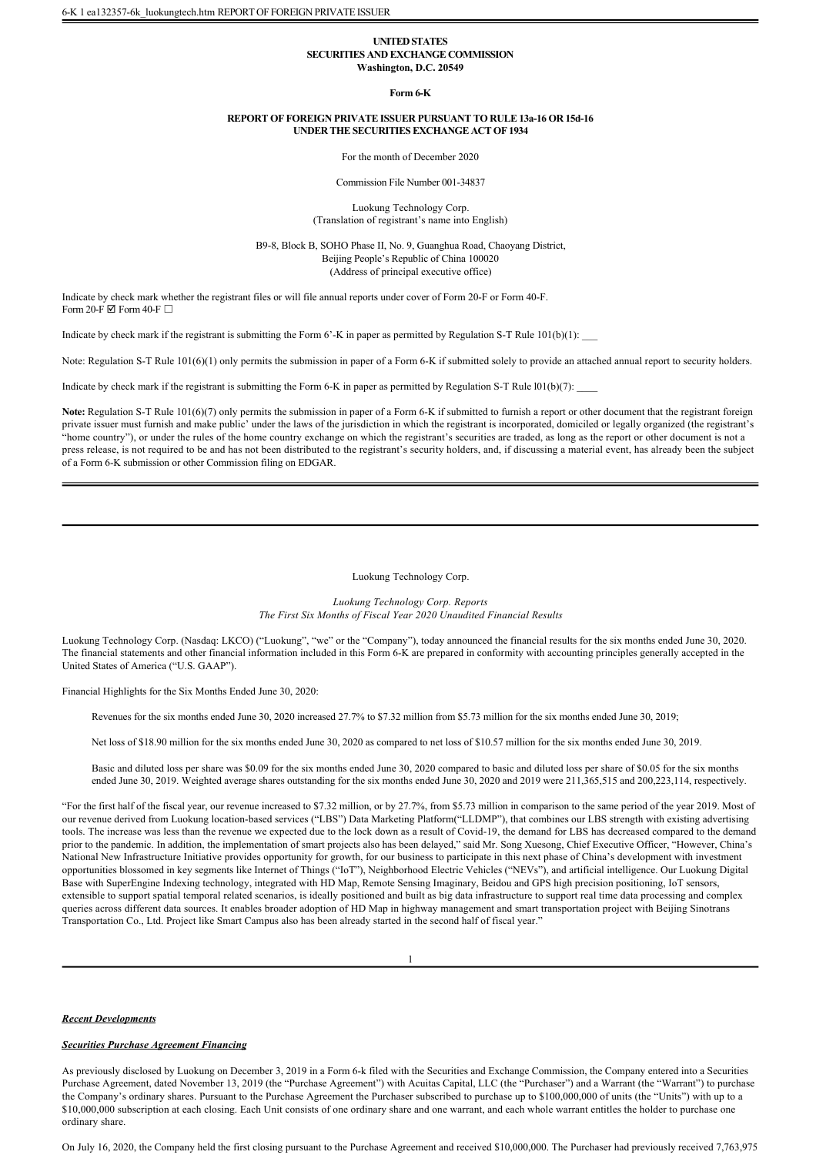## **UNITED STATES SECURITIES AND EXCHANGE COMMISSION Washington, D.C. 20549**

#### **Form 6K**

#### **REPORT OF FOREIGN PRIVATE ISSUER PURSUANT TO RULE 13a16 OR 15d16 UNDER THE SECURITIES EXCHANGE ACT OF 1934**

For the month of December 2020

Commission File Number 001-34837

Luokung Technology Corp. (Translation of registrant's name into English)

B9-8, Block B, SOHO Phase II, No. 9, Guanghua Road, Chaoyang District, Beijing People's Republic of China 100020 (Address of principal executive office)

Indicate by check mark whether the registrant files or will file annual reports under cover of Form 20-F or Form 40-F. Form 20-F  $\Box$  Form 40-F  $\Box$ 

Indicate by check mark if the registrant is submitting the Form  $6'$ -K in paper as permitted by Regulation S-T Rule  $101(b)(1)$ :

Note: Regulation S-T Rule 101(6)(1) only permits the submission in paper of a Form 6-K if submitted solely to provide an attached annual report to security holders.

Indicate by check mark if the registrant is submitting the Form 6-K in paper as permitted by Regulation S-T Rule  $101(b)(7)$ :

Note: Regulation S-T Rule 101(6)(7) only permits the submission in paper of a Form 6-K if submitted to furnish a report or other document that the registrant foreign private issuer must furnish and make public' under the laws of the jurisdiction in which the registrant is incorporated, domiciled or legally organized (the registrant's "home country"), or under the rules of the home country exchange on which the registrant's securities are traded, as long as the report or other document is not a press release, is not required to be and has not been distributed to the registrant's security holders, and, if discussing a material event, has already been the subject of a Form 6-K submission or other Commission filing on EDGAR.

# Luokung Technology Corp.

*Luokung Technology Corp. Reports The First Six Months of Fiscal Year 2020 Unaudited Financial Results*

Luokung Technology Corp. (Nasdaq: LKCO) ("Luokung", "we" or the "Company"), today announced the financial results for the six months ended June 30, 2020. The financial statements and other financial information included in this Form 6K are prepared in conformity with accounting principles generally accepted in the United States of America ("U.S. GAAP").

Financial Highlights for the Six Months Ended June 30, 2020:

Revenues for the six months ended June 30, 2020 increased 27.7% to \$7.32 million from \$5.73 million for the six months ended June 30, 2019;

Net loss of \$18.90 million for the six months ended June 30, 2020 as compared to net loss of \$10.57 million for the six months ended June 30, 2019.

Basic and diluted loss per share was \$0.09 for the six months ended June 30, 2020 compared to basic and diluted loss per share of \$0.05 for the six months ended June 30, 2019. Weighted average shares outstanding for the six months ended June 30, 2020 and 2019 were 211,365,515 and 200,223,114, respectively.

"For the first half of the fiscal year, our revenue increased to \$7.32 million, or by 27.7%, from \$5.73 million in comparison to the same period of the year 2019. Most of our revenue derived from Luokung location-based services ("LBS") Data Marketing Platform("LLDMP"), that combines our LBS strength with existing advertising tools. The increase was less than the revenue we expected due to the lock down as a result of Covid-19, the demand for LBS has decreased compared to the demand prior to the pandemic. In addition, the implementation of smart projects also has been delayed," said Mr. Song Xuesong, Chief Executive Officer, "However, China's National New Infrastructure Initiative provides opportunity for growth, for our business to participate in this next phase of China's development with investment opportunities blossomed in key segments like Internet of Things ("IoT"), Neighborhood Electric Vehicles ("NEVs"), and artificial intelligence. Our Luokung Digital Base with SuperEngine Indexing technology, integrated with HD Map, Remote Sensing Imaginary, Beidou and GPS high precision positioning, IoT sensors, extensible to support spatial temporal related scenarios, is ideally positioned and built as big data infrastructure to support real time data processing and complex queries across different data sources. It enables broader adoption of HD Map in highway management and smart transportation project with Beijing Sinotrans Transportation Co., Ltd. Project like Smart Campus also has been already started in the second half of fiscal year."

1

*Recent Developments*

# *Securities Purchase Agreement Financing*

As previously disclosed by Luokung on December 3, 2019 in a Form 6k filed with the Securities and Exchange Commission, the Company entered into a Securities Purchase Agreement, dated November 13, 2019 (the "Purchase Agreement") with Acuitas Capital, LLC (the "Purchaser") and a Warrant (the "Warrant") to purchase the Company's ordinary shares. Pursuant to the Purchase Agreement the Purchaser subscribed to purchase up to \$100,000,000 of units (the "Units") with up to a \$10,000,000 subscription at each closing. Each Unit consists of one ordinary share and one warrant, and each whole warrant entitles the holder to purchase one ordinary share.

On July 16, 2020, the Company held the first closing pursuant to the Purchase Agreement and received \$10,000,000. The Purchaser had previously received 7,763,975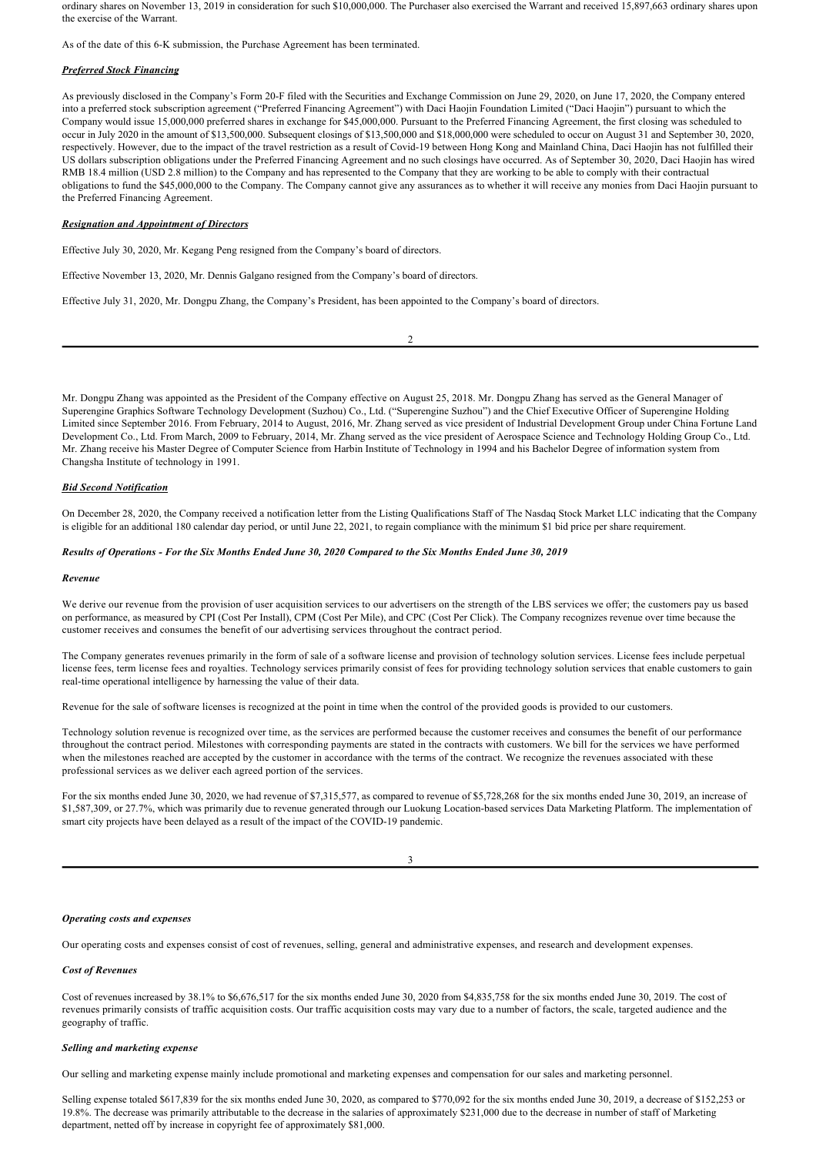ordinary shares on November 13, 2019 in consideration for such \$10,000,000. The Purchaser also exercised the Warrant and received 15,897,663 ordinary shares upon the exercise of the Warrant.

As of the date of this 6-K submission, the Purchase Agreement has been terminated.

# *Preferred Stock Financing*

As previously disclosed in the Company's Form 20F filed with the Securities and Exchange Commission on June 29, 2020, on June 17, 2020, the Company entered into a preferred stock subscription agreement ("Preferred Financing Agreement") with Daci Haojin Foundation Limited ("Daci Haojin") pursuant to which the Company would issue 15,000,000 preferred shares in exchange for \$45,000,000. Pursuant to the Preferred Financing Agreement, the first closing was scheduled to occur in July 2020 in the amount of \$13,500,000. Subsequent closings of \$13,500,000 and \$18,000,000 were scheduled to occur on August 31 and September 30, 2020, respectively. However, due to the impact of the travel restriction as a result of Covid-19 between Hong Kong and Mainland China, Daci Haojin has not fulfilled their US dollars subscription obligations under the Preferred Financing Agreement and no such closings have occurred. As of September 30, 2020, Daci Haojin has wired RMB 18.4 million (USD 2.8 million) to the Company and has represented to the Company that they are working to be able to comply with their contractual obligations to fund the \$45,000,000 to the Company. The Company cannot give any assurances as to whether it will receive any monies from Daci Haojin pursuant to the Preferred Financing Agreement.

#### *Resignation and Appointment of Directors*

Effective July 30, 2020, Mr. Kegang Peng resigned from the Company's board of directors.

Effective November 13, 2020, Mr. Dennis Galgano resigned from the Company's board of directors.

Effective July 31, 2020, Mr. Dongpu Zhang, the Company's President, has been appointed to the Company's board of directors.

2

Mr. Dongpu Zhang was appointed as the President of the Company effective on August 25, 2018. Mr. Dongpu Zhang has served as the General Manager of Superengine Graphics Software Technology Development (Suzhou) Co., Ltd. ("Superengine Suzhou") and the Chief Executive Officer of Superengine Holding Limited since September 2016. From February, 2014 to August, 2016, Mr. Zhang served as vice president of Industrial Development Group under China Fortune Land Development Co., Ltd. From March, 2009 to February, 2014, Mr. Zhang served as the vice president of Aerospace Science and Technology Holding Group Co., Ltd. Mr. Zhang receive his Master Degree of Computer Science from Harbin Institute of Technology in 1994 and his Bachelor Degree of information system from Changsha Institute of technology in 1991.

### *Bid Second Notification*

On December 28, 2020, the Company received a notification letter from the Listing Qualifications Staff of The Nasdaq Stock Market LLC indicating that the Company is eligible for an additional 180 calendar day period, or until June 22, 2021, to regain compliance with the minimum \$1 bid price per share requirement.

### *Results of Operations For the Six Months Ended June 30, 2020 Compared to the Six Months Ended June 30, 2019*

#### *Revenue*

We derive our revenue from the provision of user acquisition services to our advertisers on the strength of the LBS services we offer; the customers pay us based on performance, as measured by CPI (Cost Per Install), CPM (Cost Per Mile), and CPC (Cost Per Click). The Company recognizes revenue over time because the customer receives and consumes the benefit of our advertising services throughout the contract period.

The Company generates revenues primarily in the form of sale of a software license and provision of technology solution services. License fees include perpetual license fees, term license fees and royalties. Technology services primarily consist of fees for providing technology solution services that enable customers to gain real-time operational intelligence by harnessing the value of their data.

Revenue for the sale of software licenses is recognized at the point in time when the control of the provided goods is provided to our customers.

Technology solution revenue is recognized over time, as the services are performed because the customer receives and consumes the benefit of our performance throughout the contract period. Milestones with corresponding payments are stated in the contracts with customers. We bill for the services we have performed when the milestones reached are accepted by the customer in accordance with the terms of the contract. We recognize the revenues associated with these professional services as we deliver each agreed portion of the services.

For the six months ended June 30, 2020, we had revenue of \$7,315,577, as compared to revenue of \$5,728,268 for the six months ended June 30, 2019, an increase of \$1,587,309, or 27.7%, which was primarily due to revenue generated through our Luokung Location-based services Data Marketing Platform. The implementation of smart city projects have been delayed as a result of the impact of the COVID-19 pandemic.

| ×.     |  |
|--------|--|
|        |  |
| I<br>I |  |
| ×<br>٧ |  |

#### *Operating costs and expenses*

Our operating costs and expenses consist of cost of revenues, selling, general and administrative expenses, and research and development expenses.

## *Cost of Revenues*

Cost of revenues increased by 38.1% to \$6,676,517 for the six months ended June 30, 2020 from \$4,835,758 for the six months ended June 30, 2019. The cost of revenues primarily consists of traffic acquisition costs. Our traffic acquisition costs may vary due to a number of factors, the scale, targeted audience and the geography of traffic.

## *Selling and marketing expense*

Our selling and marketing expense mainly include promotional and marketing expenses and compensation for our sales and marketing personnel.

Selling expense totaled \$617,839 for the six months ended June 30, 2020, as compared to \$770,092 for the six months ended June 30, 2019, a decrease of \$152,253 or 19.8%. The decrease was primarily attributable to the decrease in the salaries of approximately \$231,000 due to the decrease in number of staff of Marketing department, netted off by increase in copyright fee of approximately \$81,000.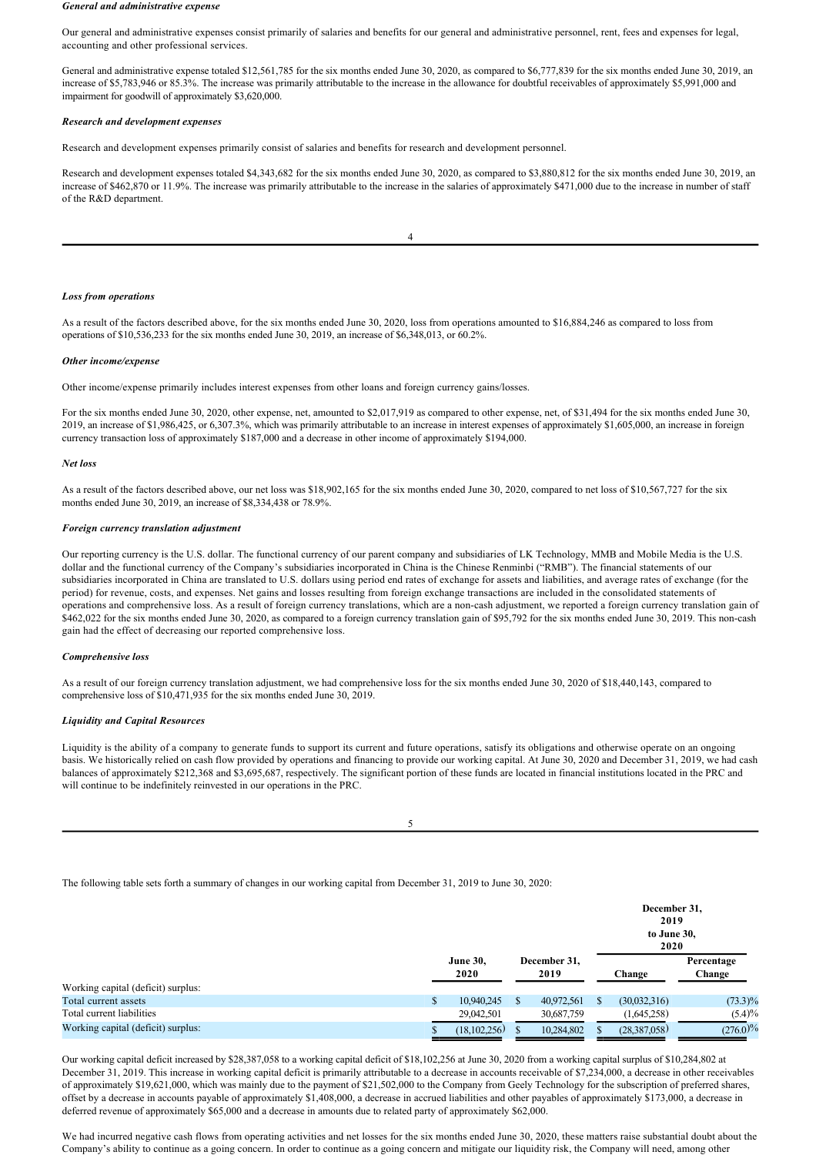#### *General and administrative expense*

Our general and administrative expenses consist primarily of salaries and benefits for our general and administrative personnel, rent, fees and expenses for legal, accounting and other professional services.

General and administrative expense totaled \$12,561,785 for the six months ended June 30, 2020, as compared to \$6,777,839 for the six months ended June 30, 2019, an increase of \$5,783,946 or 85.3%. The increase was primarily attributable to the increase in the allowance for doubtful receivables of approximately \$5,991,000 and impairment for goodwill of approximately \$3,620,000.

### *Research and development expenses*

Research and development expenses primarily consist of salaries and benefits for research and development personnel.

Research and development expenses totaled \$4,343,682 for the six months ended June 30, 2020, as compared to \$3,880,812 for the six months ended June 30, 2019, an increase of \$462,870 or 11.9%. The increase was primarily attributable to the increase in the salaries of approximately \$471,000 due to the increase in number of staff of the R&D department.

| ï<br>٠ |  |
|--------|--|
|        |  |
| ٠      |  |
|        |  |

### *Loss from operations*

As a result of the factors described above, for the six months ended June 30, 2020, loss from operations amounted to \$16,884,246 as compared to loss from operations of \$10,536,233 for the six months ended June 30, 2019, an increase of \$6,348,013, or 60.2%.

#### *Other income/expense*

Other income/expense primarily includes interest expenses from other loans and foreign currency gains/losses.

For the six months ended June 30, 2020, other expense, net, amounted to \$2,017,919 as compared to other expense, net, of \$31,494 for the six months ended June 30, 2019, an increase of \$1,986,425, or 6,307.3%, which was primarily attributable to an increase in interest expenses of approximately \$1,605,000, an increase in foreign currency transaction loss of approximately \$187,000 and a decrease in other income of approximately \$194,000.

### *Net loss*

As a result of the factors described above, our net loss was \$18,902,165 for the six months ended June 30, 2020, compared to net loss of \$10,567,727 for the six months ended June 30, 2019, an increase of \$8,334,438 or 78.9%.

#### *Foreign currency translation adjustment*

Our reporting currency is the U.S. dollar. The functional currency of our parent company and subsidiaries of LK Technology, MMB and Mobile Media is the U.S. dollar and the functional currency of the Company's subsidiaries incorporated in China is the Chinese Renminbi ("RMB"). The financial statements of our subsidiaries incorporated in China are translated to U.S. dollars using period end rates of exchange for assets and liabilities, and average rates of exchange (for the period) for revenue, costs, and expenses. Net gains and losses resulting from foreign exchange transactions are included in the consolidated statements of operations and comprehensive loss. As a result of foreign currency translations, which are a noncash adjustment, we reported a foreign currency translation gain of \$462,022 for the six months ended June 30, 2020, as compared to a foreign currency translation gain of \$95,792 for the six months ended June 30, 2019. This non-cash gain had the effect of decreasing our reported comprehensive loss.

### *Comprehensive loss*

As a result of our foreign currency translation adjustment, we had comprehensive loss for the six months ended June 30, 2020 of \$18,440,143, compared to comprehensive loss of \$10,471,935 for the six months ended June 30, 2019.

### *Liquidity and Capital Resources*

Liquidity is the ability of a company to generate funds to support its current and future operations, satisfy its obligations and otherwise operate on an ongoing basis. We historically relied on cash flow provided by operations and financing to provide our working capital. At June 30, 2020 and December 31, 2019, we had cash balances of approximately \$212,368 and \$3,695,687, respectively. The significant portion of these funds are located in financial institutions located in the PRC and will continue to be indefinitely reinvested in our operations in the PRC.

| ×                |  |
|------------------|--|
| ł<br>I<br>×<br>٧ |  |
|                  |  |

The following table sets forth a summary of changes in our working capital from December 31, 2019 to June 30, 2020:

|                                    |                         |                      |          | December 31,<br>2019<br>to June 30,<br>2020 |                      |  |  |  |
|------------------------------------|-------------------------|----------------------|----------|---------------------------------------------|----------------------|--|--|--|
|                                    | <b>June 30,</b><br>2020 | December 31,<br>2019 |          | Change                                      | Percentage<br>Change |  |  |  |
| Working capital (deficit) surplus: |                         |                      |          |                                             |                      |  |  |  |
| Total current assets               | 10,940,245              | 40,972,561           | <b>S</b> | (30,032,316)                                | $(73.3)\%$           |  |  |  |
| Total current liabilities          | 29,042,501              | 30,687,759           |          | (1,645,258)                                 | $(5.4)\%$            |  |  |  |
| Working capital (deficit) surplus: | (18,102,256)            | 10,284,802           |          | (28,387,058)                                | (276.0)%             |  |  |  |

Our working capital deficit increased by \$28,387,058 to a working capital deficit of \$18,102,256 at June 30, 2020 from a working capital surplus of \$10,284,802 at December 31, 2019. This increase in working capital deficit is primarily attributable to a decrease in accounts receivable of \$7,234,000, a decrease in other receivables of approximately \$19,621,000, which was mainly due to the payment of \$21,502,000 to the Company from Geely Technology for the subscription of preferred shares, offset by a decrease in accounts payable of approximately \$1,408,000, a decrease in accrued liabilities and other payables of approximately \$173,000, a decrease in deferred revenue of approximately \$65,000 and a decrease in amounts due to related party of approximately \$62,000.

We had incurred negative cash flows from operating activities and net losses for the six months ended June 30, 2020, these matters raise substantial doubt about the Company's ability to continue as a going concern. In order to continue as a going concern and mitigate our liquidity risk, the Company will need, among other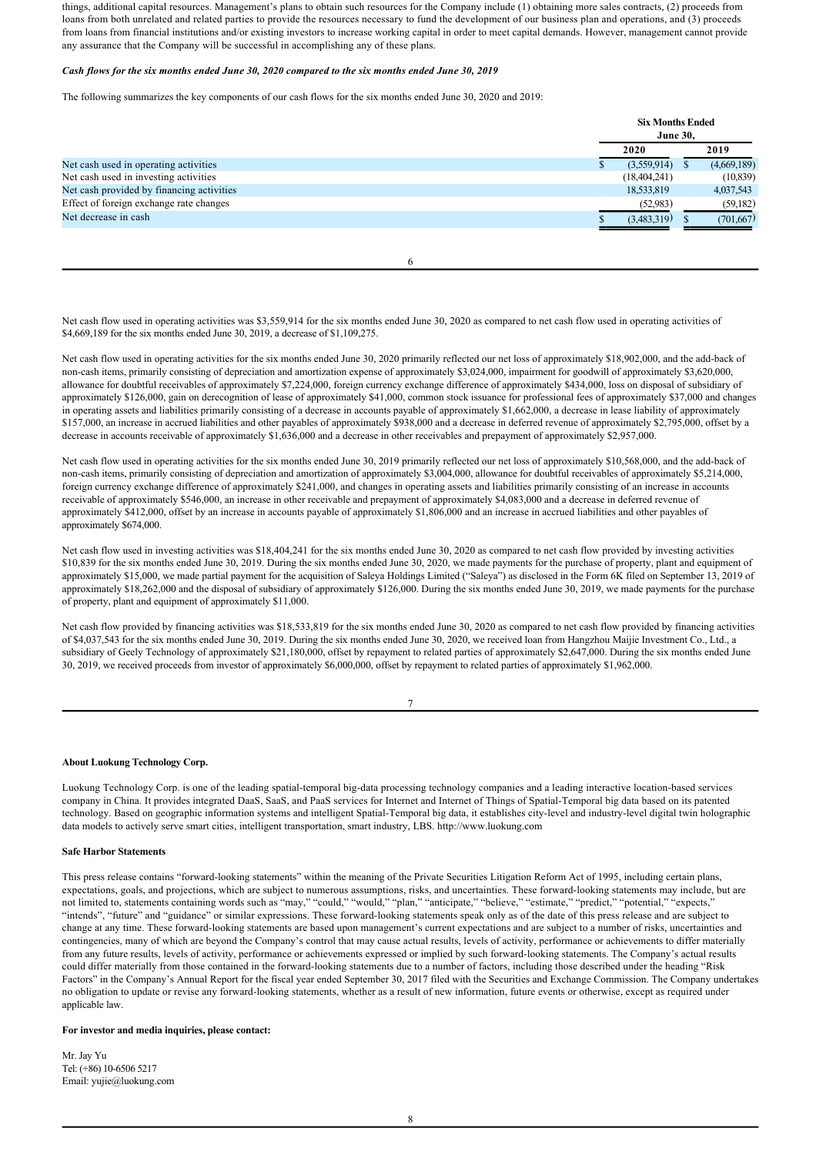things, additional capital resources. Management's plans to obtain such resources for the Company include (1) obtaining more sales contracts, (2) proceeds from loans from both unrelated and related parties to provide the resources necessary to fund the development of our business plan and operations, and (3) proceeds from loans from financial institutions and/or existing investors to increase working capital in order to meet capital demands. However, management cannot provide any assurance that the Company will be successful in accomplishing any of these plans.

## *Cash flows for the six months ended June 30, 2020 compared to the six months ended June 30, 2019*

The following summarizes the key components of our cash flows for the six months ended June 30, 2020 and 2019:

|                                           | <b>Six Months Ended</b><br><b>June 30,</b> |  |             |
|-------------------------------------------|--------------------------------------------|--|-------------|
|                                           | 2020                                       |  | 2019        |
| Net cash used in operating activities     | (3,559,914)                                |  | (4,669,189) |
| Net cash used in investing activities     | (18, 404, 241)                             |  | (10, 839)   |
| Net cash provided by financing activities | 18,533,819                                 |  | 4,037,543   |
| Effect of foreign exchange rate changes   | (52,983)                                   |  | (59,182)    |
| Net decrease in cash                      | (3,483,319)                                |  | (701,667)   |
|                                           |                                            |  |             |

6

Net cash flow used in operating activities was \$3,559,914 for the six months ended June 30, 2020 as compared to net cash flow used in operating activities of \$4,669,189 for the six months ended June 30, 2019, a decrease of \$1,109,275.

Net cash flow used in operating activities for the six months ended June 30, 2020 primarily reflected our net loss of approximately \$18,902,000, and the add-back of non-cash items, primarily consisting of depreciation and amortization expense of approximately \$3,024,000, impairment for goodwill of approximately \$3,620,000, allowance for doubtful receivables of approximately \$7,224,000, foreign currency exchange difference of approximately \$434,000, loss on disposal of subsidiary of approximately \$126,000, gain on derecognition of lease of approximately \$41,000, common stock issuance for professional fees of approximately \$37,000 and changes in operating assets and liabilities primarily consisting of a decrease in accounts payable of approximately \$1,662,000, a decrease in lease liability of approximately \$157,000, an increase in accrued liabilities and other payables of approximately \$938,000 and a decrease in deferred revenue of approximately \$2,795,000, offset by a decrease in accounts receivable of approximately \$1,636,000 and a decrease in other receivables and prepayment of approximately \$2,957,000.

Net cash flow used in operating activities for the six months ended June 30, 2019 primarily reflected our net loss of approximately \$10,568,000, and the add-back of non-cash items, primarily consisting of depreciation and amortization of approximately \$3,004,000, allowance for doubtful receivables of approximately \$5,214,000, foreign currency exchange difference of approximately \$241,000, and changes in operating assets and liabilities primarily consisting of an increase in accounts receivable of approximately \$546,000, an increase in other receivable and prepayment of approximately \$4,083,000 and a decrease in deferred revenue of approximately \$412,000, offset by an increase in accounts payable of approximately \$1,806,000 and an increase in accrued liabilities and other payables of approximately \$674,000.

Net cash flow used in investing activities was \$18,404,241 for the six months ended June 30, 2020 as compared to net cash flow provided by investing activities \$10,839 for the six months ended June 30, 2019. During the six months ended June 30, 2020, we made payments for the purchase of property, plant and equipment of approximately \$15,000, we made partial payment for the acquisition of Saleya Holdings Limited ("Saleya") as disclosed in the Form 6K filed on September 13, 2019 of approximately \$18,262,000 and the disposal of subsidiary of approximately \$126,000. During the six months ended June 30, 2019, we made payments for the purchase of property, plant and equipment of approximately \$11,000.

Net cash flow provided by financing activities was \$18,533,819 for the six months ended June 30, 2020 as compared to net cash flow provided by financing activities of \$4,037,543 for the six months ended June 30, 2019. During the six months ended June 30, 2020, we received loan from Hangzhou Maijie Investment Co., Ltd., a subsidiary of Geely Technology of approximately \$21,180,000, offset by repayment to related parties of approximately \$2,647,000. During the six months ended June 30, 2019, we received proceeds from investor of approximately \$6,000,000, offset by repayment to related parties of approximately \$1,962,000.

7

# **About Luokung Technology Corp.**

Luokung Technology Corp. is one of the leading spatial-temporal big-data processing technology companies and a leading interactive location-based services company in China. It provides integrated DaaS, SaaS, and PaaS services for Internet and Internet of Things of Spatial-Temporal big data based on its patented technology. Based on geographic information systems and intelligent Spatial-Temporal big data, it establishes city-level and industry-level digital twin holographic data models to actively serve smart cities, intelligent transportation, smart industry, LBS. http://www.luokung.com

# **Safe Harbor Statements**

This press release contains "forward-looking statements" within the meaning of the Private Securities Litigation Reform Act of 1995, including certain plans, expectations, goals, and projections, which are subject to numerous assumptions, risks, and uncertainties. These forwardlooking statements may include, but are not limited to, statements containing words such as "may," "could," "would," "plan," "anticipate," "believe," "estimate," "predict," "potential," "expects," "intends", "future" and "guidance" or similar expressions. These forward-looking statements speak only as of the date of this press release and are subject to change at any time. These forward-looking statements are based upon management's current expectations and are subject to a number of risks, uncertainties and contingencies, many of which are beyond the Company's control that may cause actual results, levels of activity, performance or achievements to differ materially from any future results, levels of activity, performance or achievements expressed or implied by such forward-looking statements. The Company's actual results could differ materially from those contained in the forward-looking statements due to a number of factors, including those described under the heading "Risk Factors" in the Company's Annual Report for the fiscal year ended September 30, 2017 filed with the Securities and Exchange Commission. The Company undertakes no obligation to update or revise any forward-looking statements, whether as a result of new information, future events or otherwise, except as required under applicable law

# **For investor and media inquiries, please contact:**

Mr. Jay Yu Tel: (+86) 10-6506 5217 Email: yujie@luokung.com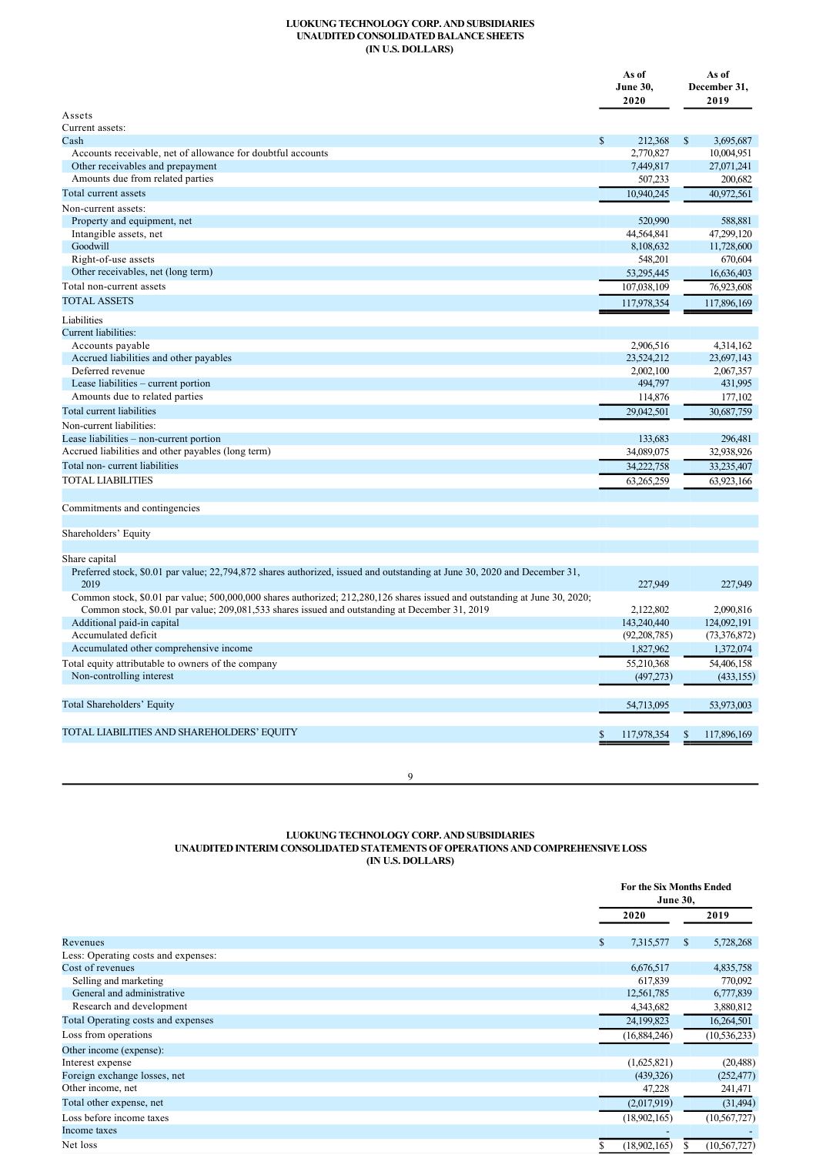# **LUOKUNG TECHNOLOGY CORP. AND SUBSIDIARIES UNAUDITED CONSOLIDATED BALANCE SHEETS (IN U.S. DOLLARS)**

|                                                                                                                            |              | As of<br><b>June 30,</b><br>2020 |              | As of<br>December 31,<br>2019 |
|----------------------------------------------------------------------------------------------------------------------------|--------------|----------------------------------|--------------|-------------------------------|
| Assets                                                                                                                     |              |                                  |              |                               |
| Current assets:                                                                                                            |              |                                  |              |                               |
| Cash                                                                                                                       | $\mathbb{S}$ | 212,368                          | $\mathbb{S}$ | 3,695,687                     |
| Accounts receivable, net of allowance for doubtful accounts                                                                |              | 2,770,827                        |              | 10,004,951                    |
| Other receivables and prepayment                                                                                           |              | 7,449,817                        |              | 27,071,241                    |
| Amounts due from related parties                                                                                           |              | 507,233                          |              | 200,682                       |
| Total current assets                                                                                                       |              | 10,940,245                       |              | 40,972,561                    |
| Non-current assets:                                                                                                        |              |                                  |              |                               |
| Property and equipment, net                                                                                                |              | 520,990                          |              | 588,881                       |
| Intangible assets, net                                                                                                     |              | 44,564,841                       |              | 47,299,120                    |
| Goodwill                                                                                                                   |              | 8,108,632                        |              | 11,728,600                    |
| Right-of-use assets                                                                                                        |              | 548,201                          |              | 670,604                       |
| Other receivables, net (long term)                                                                                         |              | 53,295,445                       |              | 16,636,403                    |
| Total non-current assets                                                                                                   |              | 107,038,109                      |              | 76,923,608                    |
| <b>TOTAL ASSETS</b>                                                                                                        |              | 117,978,354                      |              | 117,896,169                   |
| Liabilities                                                                                                                |              |                                  |              |                               |
| Current liabilities:                                                                                                       |              |                                  |              |                               |
| Accounts payable                                                                                                           |              | 2,906,516                        |              | 4,314,162                     |
| Accrued liabilities and other payables                                                                                     |              | 23,524,212                       |              | 23,697,143                    |
| Deferred revenue                                                                                                           |              | 2,002,100                        |              | 2,067,357                     |
| Lease liabilities - current portion                                                                                        |              | 494,797                          |              | 431,995                       |
| Amounts due to related parties                                                                                             |              | 114,876                          |              | 177,102                       |
| Total current liabilities                                                                                                  |              | 29,042,501                       |              | 30,687,759                    |
| Non-current liabilities:                                                                                                   |              |                                  |              |                               |
| Lease liabilities - non-current portion                                                                                    |              | 133,683                          |              | 296,481                       |
| Accrued liabilities and other payables (long term)                                                                         |              | 34,089,075                       |              | 32,938,926                    |
| Total non-current liabilities                                                                                              |              | 34,222,758                       |              | 33,235,407                    |
| <b>TOTAL LIABILITIES</b>                                                                                                   |              | 63,265,259                       |              | 63,923,166                    |
|                                                                                                                            |              |                                  |              |                               |
| Commitments and contingencies                                                                                              |              |                                  |              |                               |
|                                                                                                                            |              |                                  |              |                               |
| Shareholders' Equity                                                                                                       |              |                                  |              |                               |
|                                                                                                                            |              |                                  |              |                               |
| Share capital                                                                                                              |              |                                  |              |                               |
| Preferred stock, \$0.01 par value; 22,794,872 shares authorized, issued and outstanding at June 30, 2020 and December 31,  |              |                                  |              |                               |
| 2019                                                                                                                       |              | 227,949                          |              | 227,949                       |
| Common stock, \$0.01 par value; 500,000,000 shares authorized; 212,280,126 shares issued and outstanding at June 30, 2020; |              |                                  |              |                               |
| Common stock, \$0.01 par value; 209,081,533 shares issued and outstanding at December 31, 2019                             |              | 2.122.802                        |              | 2.090.816                     |
| Additional paid-in capital                                                                                                 |              | 143,240,440                      |              | 124,092,191                   |
| Accumulated deficit                                                                                                        |              | (92, 208, 785)                   |              | (73, 376, 872)                |
| Accumulated other comprehensive income                                                                                     |              | 1,827,962                        |              | 1,372,074                     |
| Total equity attributable to owners of the company                                                                         |              | 55,210,368                       |              | 54,406,158                    |
| Non-controlling interest                                                                                                   |              | (497,273)                        |              | (433, 155)                    |
|                                                                                                                            |              |                                  |              |                               |
| Total Shareholders' Equity                                                                                                 |              | 54,713,095                       |              | 53,973,003                    |
|                                                                                                                            |              |                                  |              |                               |
| TOTAL LIABILITIES AND SHAREHOLDERS' EQUITY                                                                                 |              | 117,978,354                      | \$           | 117,896,169                   |
|                                                                                                                            |              |                                  |              |                               |
|                                                                                                                            |              |                                  |              |                               |
| 9                                                                                                                          |              |                                  |              |                               |

**LUOKUNG TECHNOLOGY CORP. AND SUBSIDIARIES**

**UNAUDITED INTERIM CONSOLIDATED STATEMENTS OF OPERATIONS AND COMPREHENSIVE LOSS**

**(IN U.S. DOLLARS)**

|                                     |                 | <b>For the Six Months Ended</b><br><b>June 30,</b> |  |  |
|-------------------------------------|-----------------|----------------------------------------------------|--|--|
|                                     | 2020            | 2019                                               |  |  |
| Revenues                            | 7,315,577<br>\$ | 5,728,268<br><sup>S</sup>                          |  |  |
| Less: Operating costs and expenses: |                 |                                                    |  |  |
| Cost of revenues                    | 6,676,517       | 4,835,758                                          |  |  |
| Selling and marketing               | 617,839         | 770,092                                            |  |  |
| General and administrative          | 12,561,785      | 6,777,839                                          |  |  |
| Research and development            | 4,343,682       | 3,880,812                                          |  |  |
| Total Operating costs and expenses  | 24,199,823      | 16,264,501                                         |  |  |
| Loss from operations                | (16,884,246)    | (10, 536, 233)                                     |  |  |
| Other income (expense):             |                 |                                                    |  |  |
| Interest expense                    | (1,625,821)     | (20, 488)                                          |  |  |
| Foreign exchange losses, net        | (439, 326)      | (252, 477)                                         |  |  |
| Other income, net                   | 47,228          | 241,471                                            |  |  |
| Total other expense, net            | (2,017,919)     | (31, 494)                                          |  |  |
| Loss before income taxes            | (18,902,165)    | (10, 567, 727)                                     |  |  |
| Income taxes                        |                 |                                                    |  |  |
| Net loss                            | (18,902,165)    | (10, 567, 727)                                     |  |  |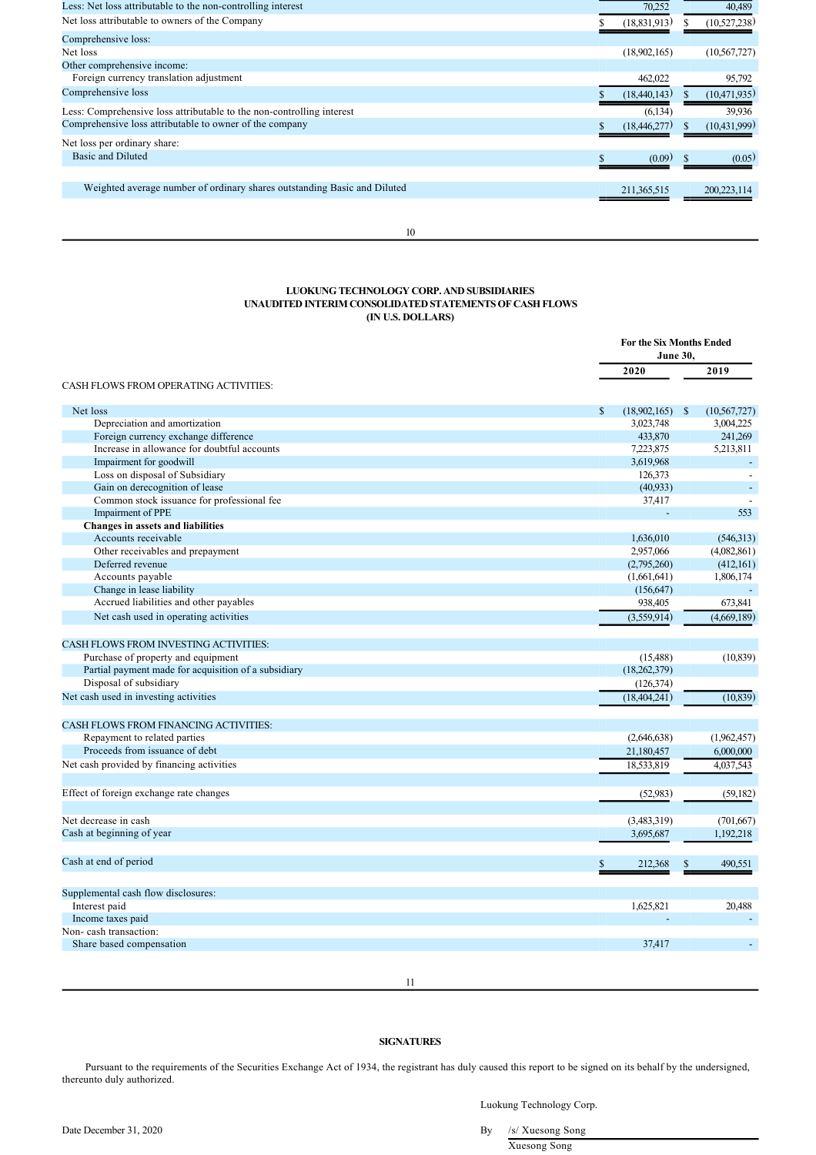| Less: Net loss attributable to the non-controlling interest              | 70,252         | 40,489         |
|--------------------------------------------------------------------------|----------------|----------------|
| Net loss attributable to owners of the Company                           | (18, 831, 913) | (10,527,238)   |
| Comprehensive loss:                                                      |                |                |
| Net loss                                                                 | (18,902,165)   | (10, 567, 727) |
| Other comprehensive income:                                              |                |                |
| Foreign currency translation adjustment                                  | 462,022        | 95,792         |
| Comprehensive loss                                                       | (18, 440, 143) | (10, 471, 935) |
| Less: Comprehensive loss attributable to the non-controlling interest    | (6, 134)       | 39,936         |
| Comprehensive loss attributable to owner of the company                  | (18, 446, 277) | (10, 431, 999) |
| Net loss per ordinary share:                                             |                |                |
| Basic and Diluted                                                        | (0.09)         | (0.05)         |
|                                                                          |                |                |
| Weighted average number of ordinary shares outstanding Basic and Diluted | 211, 365, 515  | 200,223,114    |
|                                                                          |                |                |

10

# **LUOKUNG TECHNOLOGY CORP. AND SUBSIDIARIES UNAUDITED INTERIM CONSOLIDATED STATEMENTS OF CASH FLOWS (IN U.S. DOLLARS)**

|                                                      | <b>For the Six Months Ended</b><br><b>June 30.</b> |                                 |
|------------------------------------------------------|----------------------------------------------------|---------------------------------|
|                                                      | 2020                                               | 2019                            |
| <b>CASH FLOWS FROM OPERATING ACTIVITIES:</b>         |                                                    |                                 |
| Net loss                                             | \$<br>(18,902,165)                                 | $\mathcal{S}$<br>(10, 567, 727) |
| Depreciation and amortization                        | 3,023,748                                          | 3,004,225                       |
| Foreign currency exchange difference                 | 433,870                                            | 241,269                         |
| Increase in allowance for doubtful accounts          | 7,223,875                                          | 5,213,811                       |
| Impairment for goodwill                              | 3,619,968                                          |                                 |
| Loss on disposal of Subsidiary                       | 126,373                                            |                                 |
| Gain on derecognition of lease                       | (40,933)                                           |                                 |
| Common stock issuance for professional fee           | 37,417                                             |                                 |
| Impairment of PPE                                    |                                                    | 553                             |
| Changes in assets and liabilities                    |                                                    |                                 |
| Accounts receivable                                  | 1,636,010                                          | (546, 313)                      |
| Other receivables and prepayment                     | 2,957,066                                          | (4,082,861)                     |
| Deferred revenue                                     | (2,795,260)                                        | (412, 161)                      |
| Accounts payable                                     | (1,661,641)                                        | 1,806,174                       |
| Change in lease liability                            | (156, 647)                                         |                                 |
| Accrued liabilities and other payables               | 938,405                                            | 673,841                         |
| Net cash used in operating activities                | (3,559,914)                                        | (4,669,189)                     |
|                                                      |                                                    |                                 |
| CASH FLOWS FROM INVESTING ACTIVITIES:                |                                                    |                                 |
| Purchase of property and equipment                   | (15, 488)                                          | (10, 839)                       |
| Partial payment made for acquisition of a subsidiary | (18, 262, 379)                                     |                                 |
| Disposal of subsidiary                               | (126,374)                                          |                                 |
| Net cash used in investing activities                | (18, 404, 241)                                     | (10, 839)                       |
|                                                      |                                                    |                                 |
| <b>CASH FLOWS FROM FINANCING ACTIVITIES:</b>         |                                                    |                                 |
| Repayment to related parties                         | (2,646,638)                                        | (1,962,457)                     |
| Proceeds from issuance of debt                       | 21,180,457                                         | 6,000,000                       |
| Net cash provided by financing activities            | 18,533,819                                         | 4,037,543                       |
| Effect of foreign exchange rate changes              | (52,983)                                           | (59, 182)                       |
| Net decrease in cash                                 | (3,483,319)                                        | (701, 667)                      |
| Cash at beginning of year                            | 3,695,687                                          | 1,192,218                       |
|                                                      |                                                    |                                 |
| Cash at end of period                                | \$<br>212,368                                      | 490,551<br>\$                   |
|                                                      |                                                    |                                 |
| Supplemental cash flow disclosures:                  |                                                    |                                 |
| Interest paid                                        | 1,625,821                                          | 20.488                          |
| Income taxes paid                                    |                                                    |                                 |
| Non-cash transaction:                                |                                                    |                                 |
| Share based compensation                             | 37,417                                             |                                 |
|                                                      |                                                    |                                 |

11

# **SIGNATURES**

Pursuant to the requirements of the Securities Exchange Act of 1934, the registrant has duly caused this report to be signed on its behalf by the undersigned, thereunto duly authorized.

Date December 31, 2020 By /s/ Xuesong Song Xuesong Song